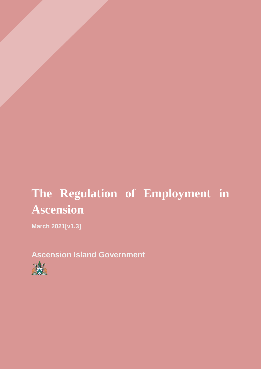# **The Regulation of Employment in Ascension**

**March 2021[v1.3]**

**Ascension Island Government** 

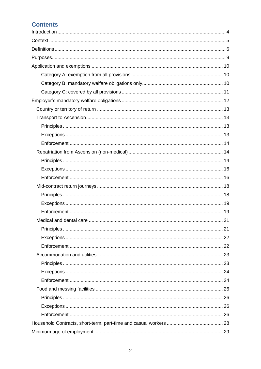# **Contents**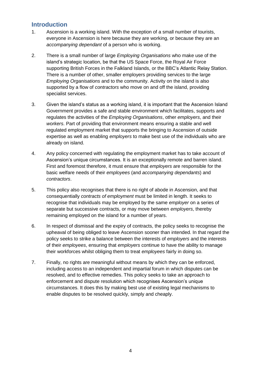# <span id="page-3-0"></span>**Introduction**

- 1. Ascension is a working island. With the exception of a small number of tourists, everyone in Ascension is here because they are working, or because they are an *accompanying dependant* of a person who is working.
- 2. There is a small number of large *Employing Organisations* who make use of the island's strategic location, be that the US Space Force, the Royal Air Force supporting British Forces in the Falkland Islands, or the BBC's Atlantic Relay Station. There is a number of other, smaller employers providing services to the large *Employing Organisations* and to the community. Activity on the island is also supported by a flow of *contractors* who move on and off the island, providing specialist services.
- 3. Given the island's status as a working island, it is important that the Ascension Island Government provides a safe and stable environment which facilitates, supports and regulates the activities of the *Employing Organisations*, other *employers*, and their *workers*. Part of providing that environment means ensuring a stable and well regulated employment market that supports the bringing to Ascension of outside expertise as well as enabling *employers* to make best use of the individuals who are already on island.
- 4. Any policy concerned with regulating the employment market has to take account of Ascension's unique circumstances. It is an exceptionally remote and barren island. First and foremost therefore, it must ensure that *employers* are responsible for the basic welfare needs of their *employees* (and *accompanying dependants*) and *contractors*.
- 5. This policy also recognises that there is no right of abode in Ascension, and that consequentially *contracts of employment* must be limited in length. It seeks to recognise that individuals may be employed by the same *employer* on a series of separate but successive contracts, or may move between *employers*, thereby remaining employed on the island for a number of years.
- 6. In respect of dismissal and the expiry of contracts, the policy seeks to recognise the upheaval of being obliged to leave Ascension sooner than intended. In that regard the policy seeks to strike a balance between the interests of *employers* and the interests of their *employees*, ensuring that *employers* continue to have the ability to manage their workforces whilst obliging them to treat *employees* fairly in doing so.
- 7. Finally, no rights are meaningful without means by which they can be enforced, including access to an independent and impartial forum in which disputes can be resolved, and to effective remedies. This policy seeks to take an approach to enforcement and dispute resolution which recognises Ascension's unique circumstances. It does this by making best use of existing legal mechanisms to enable disputes to be resolved quickly, simply and cheaply.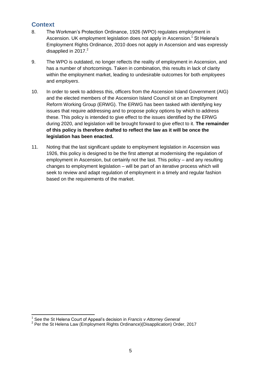# <span id="page-4-0"></span>**Context**

- 8. The Workman's Protection Ordinance, 1926 (WPO) regulates employment in Ascension. UK employment legislation does not apply in Ascension.<sup>1</sup> St Helena's Employment Rights Ordinance, 2010 does not apply in Ascension and was expressly disapplied in  $2017.<sup>2</sup>$
- 9. The WPO is outdated, no longer reflects the reality of employment in Ascension, and has a number of shortcomings. Taken in combination, this results in lack of clarity within the employment market, leading to undesirable outcomes for both *employees* and *employers*.
- 10. In order to seek to address this, officers from the Ascension Island Government (AIG) and the elected members of the Ascension Island Council sit on an Employment Reform Working Group (ERWG). The ERWG has been tasked with identifying key issues that require addressing and to propose policy options by which to address these. This policy is intended to give effect to the issues identified by the ERWG during 2020, and legislation will be brought forward to give effect to it. **The remainder of this policy is therefore drafted to reflect the law as it will be once the legislation has been enacted.**
- 11. Noting that the last significant update to employment legislation in Ascension was 1926, this policy is designed to be the first attempt at modernising the regulation of employment in Ascension, but certainly not the last. This policy – and any resulting changes to employment legislation – will be part of an iterative process which will seek to review and adapt regulation of employment in a timely and regular fashion based on the requirements of the market.

 1 See the St Helena Court of Appeal's decision in *Francis v Attorney General* 

<sup>&</sup>lt;sup>2</sup> Per the St Helena Law (Employment Rights Ordinance)(Disapplication) Order, 2017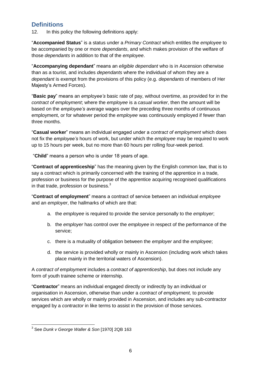# <span id="page-5-0"></span>**Definitions**

12. In this policy the following definitions apply:

"**Accompanied Status**" is a status under a *Primary Contract* which entitles the *employee* to be accompanied by one or more *dependants*, and which makes provision of the welfare of those *dependants* in addition to that of the *employee*.

"**Accompanying dependant**" means an *eligible dependant* who is in Ascension otherwise than as a tourist, and includes *dependants* where the individual of whom they are a *dependant* is exempt from the provisions of this policy (e.g. *dependants* of members of Her Majesty's Armed Forces).

"**Basic pay**" means an *employee's* basic rate of pay, without overtime, as provided for in the *contract of employment*; where the *employee* is a *casual worker*, then the amount will be based on the *employee's* average wages over the preceding three months of continuous employment, or for whatever period the *employee* was continuously employed if fewer than three months.

"**Casual worker**" means an individual engaged under a *contract of employment* which does not fix the *employee's* hours of work, but under which the *employee* may be required to work up to 15 hours per week, but no more than 60 hours per rolling four-week period.

"**Child**" means a person who is under 18 years of age.

"**Contract of apprenticeship**" has the meaning given by the English common law, that is to say a contract which is primarily concerned with the training of the apprentice in a trade, profession or business for the purpose of the apprentice acquiring recognised qualifications in that trade, profession or business. $3$ 

"**Contract of employment**" means a contract of service between an individual *employee* and an *employer*, the hallmarks of which are that:

- a. the *employee* is required to provide the service personally to the *employer*;
- b. the *employer* has control over the *employee* in respect of the performance of the service;
- c. there is a mutuality of obligation between the *employer* and the *employee*;
- d. the service is provided wholly or mainly in Ascension (including work which takes place mainly in the territorial waters of Ascension).

A *contract of employment* includes a *contract of apprenticeship*, but does not include any form of youth trainee scheme or internship.

"**Contractor**" means an individual engaged directly or indirectly by an individual or organisation in Ascension, otherwise than under a *contract of employment,* to provide services which are wholly or mainly provided in Ascension, and includes any sub-contractor engaged by a *contractor* in like terms to assist in the provision of those services.

 3 See *Dunk v George Waller & Son* [1970] 2QB 163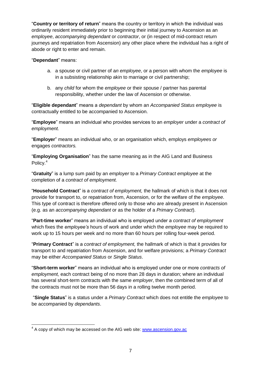"**Country or territory of return**" means the country or territory in which the individual was ordinarily resident immediately prior to beginning their initial journey to Ascension as an *employee*, *accompanying dependant* or *contractor*, or (in respect of mid-contract return journeys and repatriation from Ascension) any other place where the individual has a right of abode or right to enter and remain.

#### "**Dependant**" means:

- a. a spouse or civil partner of a*n employee*, or a person with whom the *employee* is in a subsisting relationship akin to marriage or civil partnership;
- b. any *child* for whom the *employee* or their spouse / partner has parental responsibility, whether under the law of Ascension or otherwise.

"**Eligible dependant**" means a *dependant* by whom an *Accompanied Status employee* is contractually entitled to be accompanied to Ascension.

"**Employee**" means an individual who provides services to an *employer* under a *contract of employment.*

"**Employer**" means an individual who, or an organisation which, employs *employees or*  engages *contractors.*

"**Employing Organisation**" has the same meaning as in the AIG Land and Business Policy.<sup>4</sup>

"**Gratuity**" is a lump sum paid by an *employer* to a *Primary Contract employee* at the completion of a *contract of employment.*

"**Household Contract**" is a *contract of employment,* the hallmark of which is that it does not provide for transport to, or repatriation from, Ascension, or for the welfare of the *employee*. This type of contract is therefore offered only to those who are already present in Ascension (e.g. as an *accompanying dependant* or as the holder of a *Primary Contract*).

"**Part-time worker**" means an individual who is employed under a *contract of employment* which fixes the *employee's* hours of work and under which the *employee* may be required to work up to 15 hours per week and no more than 60 hours per rolling four-week period.

"**Primary Contract**" is a *contract of employment,* the hallmark of which is that it provides for transport to and repatriation from Ascension, and for welfare provisions; a *Primary Contract*  may be either *Accompanied Status* or *Single Status*.

"**Short-term worker**" means an individual who is employed under one or more *contracts of employment,* each contract being of no more than 28 days in duration; where an individual has several short-term contracts with the same *employer*, then the combined term of all of the contracts must not be more than 56 days in a rolling twelve month period.

"**Single Status**" is a status under a *Primary Contract* which does not entitle the *employee* to be accompanied by *dependants*.

<sup>-</sup><sup>4</sup> A copy of which may be accessed on the AIG web site: **www.ascension.gov.ac**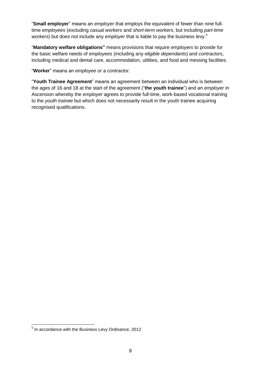"**Small employer**" means an *employer* that employs the equivalent of fewer than nine fulltime *employees* (excluding *casual workers* and *short-term workers*, but including *part-time workers*) but does not include any *employer* that is liable to pay the business levy.<sup>5</sup>

"**Mandatory welfare obligations"** means provisions that require *employers* to provide for the basic welfare needs of *employees* (including any *eligible dependants*) and *contractors*, including medical and dental care, accommodation, utilities, and food and messing facilities.

"**Worker**" means an *employee* or a *contractor.*

"**Youth Trainee Agreement**" means an agreement between an individual who is between the ages of 16 and 18 at the start of the agreement ("**the youth trainee**") and an *employer* in Ascension whereby the *employer* agrees to provide full-time, work-based vocational training to the *youth trainee* but which does not necessarily result in the youth trainee acquiring recognised qualifications.

 5 In accordance with the Business Levy Ordinance, 2012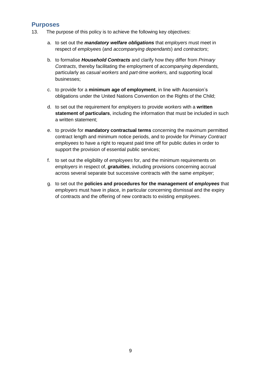# <span id="page-8-0"></span>**Purposes**

- 13. The purpose of this policy is to achieve the following key objectives:
	- a. to set out the *mandatory welfare obligations* that *employers* must meet in respect of *employees* (and *accompanying dependants*) and *contractors*;
	- b. to formalise *Household Contracts* and clarify how they differ from *Primary Contracts*, thereby facilitating the employment of *accompanying dependants,* particularly as *casual workers* and *part-time workers,* and supporting local businesses;
	- c. to provide for a **minimum age of employment**, in line with Ascension's obligations under the United Nations Convention on the Rights of the Child;
	- d. to set out the requirement for *employers* to provide *workers* with a **written statement of particulars**, including the information that must be included in such a written statement;
	- e. to provide for **mandatory contractual terms** concerning the maximum permitted contract length and minimum notice periods, and to provide for *Primary Contract employees* to have a right to request paid time off for public duties in order to support the provision of essential public services;
	- f. to set out the eligibility of *employees* for, and the minimum requirements on *employers* in respect of, *gratuities*, including provisions concerning accrual across several separate but successive contracts with the same *employer*;
	- g. to set out the **policies and procedures for the management of** *employees* that *employers* must have in place, in particular concerning dismissal and the expiry of contracts and the offering of new contracts to existing *employees*.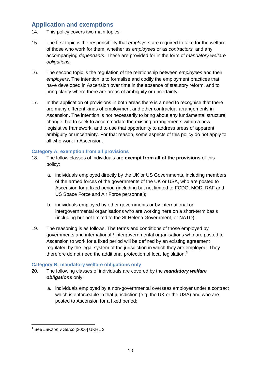# <span id="page-9-0"></span>**Application and exemptions**

- 14. This policy covers two main topics.
- 15. The first topic is the responsibility that *employers* are required to take for the welfare of those who work for them, whether as *employees* or as *contractors,* and any accompanying *dependants*. These are provided for in the form of *mandatory welfare obligations*.
- 16. The second topic is the regulation of the relationship between *employees* and their *employers*. The intention is to formalise and codify the employment practices that have developed in Ascension over time in the absence of statutory reform, and to bring clarity where there are areas of ambiguity or uncertainty.
- 17. In the application of provisions in both areas there is a need to recognise that there are many different kinds of employment and other contractual arrangements in Ascension. The intention is not necessarily to bring about any fundamental structural change, but to seek to accommodate the existing arrangements within a new legislative framework, and to use that opportunity to address areas of apparent ambiguity or uncertainty. For that reason, some aspects of this policy do not apply to all who work in Ascension.

## <span id="page-9-1"></span>**Category A: exemption from all provisions**

- 18. The follow classes of individuals are **exempt from all of the provisions** of this policy:
	- a. individuals employed directly by the UK or US Governments, including members of the armed forces of the governments of the UK or USA, who are posted to Ascension for a fixed period (including but not limited to FCDO, MOD, RAF and US Space Force and Air Force personnel);
	- b. individuals employed by other governments or by international or intergovernmental organisations who are working here on a short-term basis (including but not limited to the St Helena Government, or NATO);
- 19. The reasoning is as follows. The terms and conditions of those employed by governments and international / intergovernmental organisations who are posted to Ascension to work for a fixed period will be defined by an existing agreement regulated by the legal system of the jurisdiction in which they are employed. They therefore do not need the additional protection of local legislation.<sup>6</sup>

#### <span id="page-9-2"></span>**Category B: mandatory welfare obligations only**

- 20. The following classes of individuals are covered by the *mandatory welfare obligations* only:
	- a. individuals employed by a non-governmental overseas employer under a contract which is enforceable in that jurisdiction (e.g. the UK or the USA) and who are posted to Ascension for a fixed period;

 6 See *Lawson v Serco* [2006] UKHL 3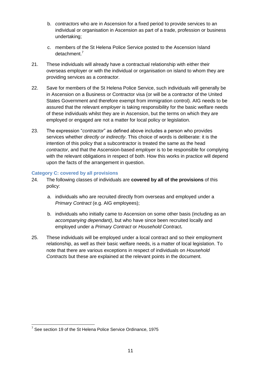- b. *contractors* who are in Ascension for a fixed period to provide services to an individual or organisation in Ascension as part of a trade, profession or business undertaking;
- c. members of the St Helena Police Service posted to the Ascension Island detachment.<sup>7</sup>
- 21. These individuals will already have a contractual relationship with either their overseas employer or with the individual or organisation on island to whom they are providing services as a *contractor*.
- 22. Save for members of the St Helena Police Service, such individuals will generally be in Ascension on a Business or Contractor visa (or will be a contractor of the United States Government and therefore exempt from immigration control). AIG needs to be assured that the relevant *employer* is taking responsibility for the basic welfare needs of these individuals whilst they are in Ascension, but the terms on which they are employed or engaged are not a matter for local policy or legislation.
- 23. The expression "*contractor*" as defined above includes a person who provides services whether *directly or indirectly*. This choice of words is deliberate: it is the intention of this policy that a subcontractor is treated the same as the head *contractor*, and that the Ascension-based *employer* is to be responsible for complying with the relevant obligations in respect of both. How this works in practice will depend upon the facts of the arrangement in question.

#### <span id="page-10-0"></span>**Category C: covered by all provisions**

- 24. The following classes of individuals are **covered by all of the provisions** of this policy:
	- a. individuals who are recruited directly from overseas and employed under a *Primary Contract* (e.g. AIG employees);
	- b. individuals who initially came to Ascension on some other basis (including as an *accompanying dependant)*, but who have since been recruited locally and employed under a *Primary Contract* or *Household Contract***.**
- 25. These individuals will be employed under a local contract and so their employment relationship, as well as their basic welfare needs, is a matter of local legislation. To note that there are various exceptions in respect of individuals on *Household Contracts* but these are explained at the relevant points in the document.

<sup>-</sup> $7$  See section 19 of the St Helena Police Service Ordinance, 1975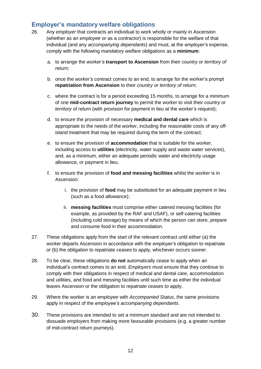# <span id="page-11-0"></span>**Employer's mandatory welfare obligations**

- 26. Any *employer* that contracts an individual to work wholly or mainly in Ascension (whether as an *employee* or as a *contractor*) is responsible for the welfare of that individual (and any *accompanying dependants*) and must, at the *employer's* expense, comply with the following *mandatory welfare obligations* as a **minimum**:
	- a. to arrange the *worker's* **transport to Ascension** from their *country or territory of return;*
	- b. once the *worker's* contract comes to an end, to arrange for the worker's prompt **repatriation from Ascension** to their *country or territory of return*;
	- c. where the contract is for a period exceeding 15 months, to arrange for a minimum of one **mid-contract return journey** to permit the *worker* to visit their *country or territory of return* (with provision for payment in lieu at the *worker's* request);
	- d. to ensure the provision of necessary **medical and dental care** which is appropriate to the needs of the *worker*, including the reasonable costs of any offisland treatment that may be required during the term of the contract;
	- e. to ensure the provision of **accommodation** that is suitable for the *worker*, including access to **utilities** (electricity, water supply and waste water services), and, as a minimum, either an adequate periodic water and electricity usage allowance, or payment in lieu;
	- f. to ensure the provision of **food and messing facilities** whilst the *worker* is in Ascension:
		- i. the provision of **food** may be substituted for an adequate payment in lieu (such as a food allowance);
		- ii. **messing facilities** must comprise either catered messing facilities (for example, as provided by the RAF and USAF), or self-catering facilities (including cold storage) by means of which the person can store, prepare and consume food in their accommodation.
- 27. These obligations apply from the start of the relevant contract until either (a) the *worker* departs Ascension in accordance with the *employer's* obligation to repatriate or (b) the obligation to repatriate ceases to apply, whichever occurs sooner.
- 28. To be clear, these obligations **do not** automatically cease to apply when an individual's contract comes to an end. *Employers* must ensure that they continue to comply with their obligations in respect of medical and dental care, accommodation and utilities, and food and messing facilities until such time as either the individual leaves Ascension or the obligation to repatriate ceases to apply.
- 29. Where the *worker* is an *employee* with *Accompanied Status*, the same provisions apply in respect of the *employee's accompanying dependants*.
- 30. These provisions are intended to set a minimum standard and are not intended to dissuade *employers* from making more favourable provisions (e.g. a greater number of mid-contract return journeys).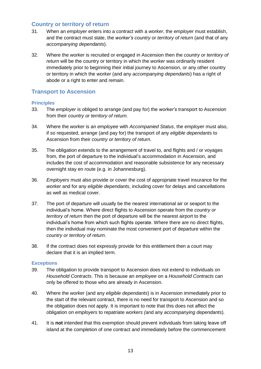## <span id="page-12-0"></span>**Country or territory of return**

- 31. When an *employer* enters into a contract with a *worker*, the *employer* must establish, and the contract must state, the *worker's country or territory of return* (and that of any *accompanying dependants*).
- 32. Where the *worker* is recruited or engaged in Ascension then the *country or territory of return* will be the country or territory in which the *worker* was ordinarily resident immediately prior to beginning their initial journey to Ascension, or any other country or territory in which the *worker* (and any *accompanying dependants*) has a right of abode or a right to enter and remain.

## <span id="page-12-1"></span>**Transport to Ascension**

#### <span id="page-12-2"></span>**Principles**

- 33. The *employer* is obliged to arrange (and pay for) the *worker's* transport to Ascension from their *country or territory of return.*
- 34. Where the *worker* is an *employee* with *Accompanied Status*, the *employer* must also, if so requested, arrange (and pay for) the transport of any *eligible dependants* to Ascension from their *country or territory of return.*
- 35. The obligation extends to the arrangement of travel to, and flights and / or voyages from, the port of departure to the individual's accommodation in Ascension, and includes the cost of accommodation and reasonable subsistence for any necessary overnight stay en route (e.g. in Johannesburg).
- 36. *Employers* must also provide or cover the cost of appropriate travel insurance for the *worker* and for any *eligible dependants*, including cover for delays and cancellations as well as medical cover.
- 37. The port of departure will usually be the nearest international air or seaport to the individual's home. Where direct flights to Ascension operate from the *country or territory of return* then the port of departure will be the nearest airport to the individual's home from which such flights operate. Where there are no direct flights, then the individual may nominate the most convenient port of departure within the *country or territory of return*.
- 38. If the contract does not expressly provide for this entitlement then a court may declare that it is an implied term.

#### <span id="page-12-3"></span>**Exceptions**

- 39. The obligation to provide transport to Ascension does not extend to individuals on *Household Contracts*. This is because an *employee* on a *Household Contracts* can only be offered to those who are already in Ascension.
- 40. Where the *worker* (and any *eligible dependants*) is in Ascension immediately prior to the start of the relevant contract, there is no need for transport to Ascension and so the obligation does not apply. It is important to note that this does not affect the obligation on *employers* to repatriate *workers (*and any *accompanying dependants*).
- 41. It is **not** intended that this exemption should prevent individuals from taking leave off island at the completion of one contract and immediately before the commencement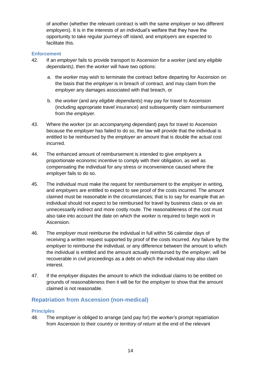of another (whether the relevant contract is with the same *employer* or two different *employers*). It is in the interests of an individual's welfare that they have the opportunity to take regular journeys off island, and *employers* are expected to facilitate this.

#### <span id="page-13-0"></span>**Enforcement**

- 42. If an *employer* fails to provide transport to Ascension for a *worker* (and any *eligible dependants)*, then the *worker* will have two options:
	- a. the *worker* may wish to terminate the contract before departing for Ascension on the basis that the *employer* is in breach of contract, and may claim from the *employer* any damages associated with that breach, or
	- b. the *worker* (and any *eligible dependants*) may pay for travel to Ascension (including appropriate travel insurance) and subsequently claim reimbursement from the *employer*.
- 43. Where the *worker* (or an *accompanying dependant*) pays for travel to Ascension because the *employer* has failed to do so, the law will provide that the individual is entitled to be reimbursed by the *employer* an amount that is double the actual cost incurred.
- 44. The enhanced amount of reimbursement is intended to give *employers* a proportionate economic incentive to comply with their obligation, as well as compensating the individual for any stress or inconvenience caused where the *employer* fails to do so.
- 45. The individual must make the request for reimbursement to the *employer* in writing, and *employers* are entitled to expect to see proof of the costs incurred. The amount claimed must be reasonable in the circumstances; that is to say for example that an individual should not expect to be reimbursed for travel by business class or via an unnecessarily indirect and more costly route. The reasonableness of the cost must also take into account the date on which the *worker* is required to begin work in Ascension.
- 46. The *employer* must reimburse the individual in full within 56 calendar days of receiving a written request supported by proof of the costs incurred. Any failure by the *employer* to reimburse the individual, or any difference between the amount to which the individual is entitled and the amount actually reimbursed by the *employer*, will be recoverable in civil proceedings as a debt on which the individual may also claim interest.
- 47. If the *employer* disputes the amount to which the individual claims to be entitled on grounds of reasonableness then it will be for the *employer* to show that the amount claimed is not reasonable.

## <span id="page-13-1"></span>**Repatriation from Ascension (non-medical)**

#### <span id="page-13-2"></span>**Principles**

48. The *employer* is obliged to arrange (and pay for) the *worker's* prompt repatriation from Ascension to their *country or territory of return* at the end of the relevant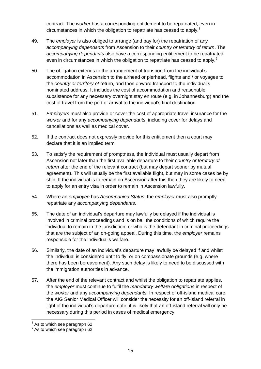contract. The *worker* has a corresponding entitlement to be repatriated, even in circumstances in which the obligation to repatriate has ceased to apply.<sup>8</sup>

- 49. The *employer* is also obliged to arrange (and pay for) the repatriation of any *accompanying dependants* from Ascension to their *country or territory of return*. The *accompanying dependants* also have a corresponding entitlement to be repatriated, even in circumstances in which the obligation to repatriate has ceased to apply.<sup>9</sup>
- 50. The obligation extends to the arrangement of transport from the individual's accommodation in Ascension to the airhead or pierhead, flights and / or voyages to the *country or territory of* return, and then onward transport to the individual's nominated address. It includes the cost of accommodation and reasonable subsistence for any necessary overnight stay en route (e.g. in Johannesburg) and the cost of travel from the port of arrival to the individual's final destination.
- 51. *Employers* must also provide or cover the cost of appropriate travel insurance for the *worker* and for any *accompanying dependants*, including cover for delays and cancellations as well as medical cover.
- 52. If the contract does not expressly provide for this entitlement then a court may declare that it is an implied term.
- 53. To satisfy the requirement of promptness, the individual must usually depart from Ascension not later than the first available departure to their *country or territory of return* after the end of the relevant contract (but may depart sooner by mutual agreement). This will usually be the first available flight, but may in some cases be by ship. If the individual is to remain on Ascension after this then they are likely to need to apply for an entry visa in order to remain in Ascension lawfully.
- 54. Where an *employee* has *Accompanied Status*, the *employer* must also promptly repatriate any *accompanying dependants*.
- 55. The date of an individual's departure may lawfully be delayed if the individual is involved in criminal proceedings and is on bail the conditions of which require the individual to remain in the jurisdiction, or who is the defendant in criminal proceedings that are the subject of an on-going appeal. During this time, the *employer* remains responsible for the individual's welfare.
- 56. Similarly, the date of an individual's departure may lawfully be delayed if and whilst the individual is considered unfit to fly, or on compassionate grounds (e.g. where there has been bereavement). Any such delay is likely to need to be discussed with the immigration authorities in advance.
- 57. After the end of the relevant contract and whilst the obligation to repatriate applies, the *employer* must continue to fulfil the *mandatory welfare obligations* in respect of the *worker* and any *accompanying dependants.* In respect of off-island medical care, the AIG Senior Medical Officer will consider the necessity for an off-island referral in light of the individual's departure date; it is likely that an off-island referral will only be necessary during this period in cases of medical emergency.

 8 As to which see paragraph [62](#page-15-2)

<sup>&</sup>lt;sup>9</sup> As to which see paragraph [62](#page-15-2)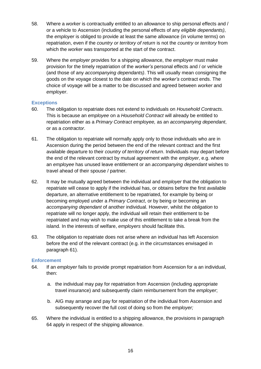- 58. Where a *worker* is contractually entitled to an allowance to ship personal effects and / or a vehicle to Ascension (including the personal effects of any *eligible dependants)*, the *employer* is obliged to provide at least the same allowance (in volume terms) on repatriation, even if the *country or territory of return* is not the *country* or *territory* from which the *worker* was transported at the start of the contract.
- 59. Where the *employer* provides for a shipping allowance, the *employer* must make provision for the timely repatriation of the *worker's* personal effects and / or vehicle (and those of any *accompanying dependants)*. This will usually mean consigning the goods on the voyage closest to the date on which the *worker's* contract ends. The choice of voyage will be a matter to be discussed and agreed between *worker* and *employer*.

#### <span id="page-15-0"></span>**Exceptions**

- 60. The obligation to repatriate does not extend to individuals on *Household Contracts*. This is because an *employee* on a *Household Contract* will already be entitled to repatriation either as a *Primary Contract employee,* as an *accompanying dependant*, or as a *contractor*.
- <span id="page-15-3"></span>61. The obligation to repatriate will normally apply only to those individuals who are in Ascension during the period between the end of the relevant contract and the first available departure to their *country of territory of return*. Individuals may depart before the end of the relevant contract by mutual agreement with the *employer*, e.g. where an *employee* has unused leave entitlement or an *accompanying dependant* wishes to travel ahead of their spouse / partner.
- <span id="page-15-2"></span>62. It may be mutually agreed between the individual and *employer* that the obligation to repatriate will cease to apply if the individual has, or obtains before the first available departure, an alternative entitlement to be repatriated, for example by being or becoming employed under a *Primary Contract*, or by being or becoming an *accompanying dependant* of another individual. However, whilst the *obligation* to repatriate will no longer apply, the individual will retain their entitlement to be repatriated and may wish to make use of this entitlement to take a break from the island. In the interests of welfare, *employers* should facilitate this.
- 63. The obligation to repatriate does not arise where an individual has left Ascension before the end of the relevant contract (e.g. in the circumstances envisaged in paragraph [61\)](#page-15-3).

#### <span id="page-15-1"></span>**Enforcement**

- <span id="page-15-4"></span>64. If an *employer* fails to provide prompt repatriation from Ascension for a an individual, then:
	- a. the individual may pay for repatriation from Ascension (including appropriate travel insurance) and subsequently claim reimbursement from the *employer*;
	- b. AIG may arrange and pay for repatriation of the individual from Ascension and subsequently recover the full cost of doing so from the *employer;*
- 65. Where the individual is entitled to a shipping allowance, the provisions in paragraph [64](#page-15-4) apply in respect of the shipping allowance.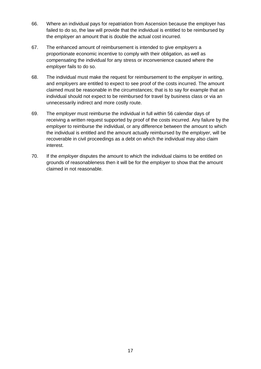- 66. Where an individual pays for repatriation from Ascension because the employer has failed to do so, the law will provide that the individual is entitled to be reimbursed by the *employer* an amount that is double the actual cost incurred.
- 67. The enhanced amount of reimbursement is intended to give *employers* a proportionate economic incentive to comply with their obligation, as well as compensating the individual for any stress or inconvenience caused where the *employer* fails to do so.
- 68. The individual must make the request for reimbursement to the *employer* in writing, and *employers* are entitled to expect to see proof of the costs incurred. The amount claimed must be reasonable in the circumstances; that is to say for example that an individual should not expect to be reimbursed for travel by business class or via an unnecessarily indirect and more costly route.
- 69. The *employer* must reimburse the individual in full within 56 calendar days of receiving a written request supported by proof of the costs incurred. Any failure by the *employer* to reimburse the individual, or any difference between the amount to which the individual is entitled and the amount actually reimbursed by the *employer*, will be recoverable in civil proceedings as a debt on which the individual may also claim interest.
- 70. If the *employer* disputes the amount to which the individual claims to be entitled on grounds of reasonableness then it will be for the *employer* to show that the amount claimed in not reasonable.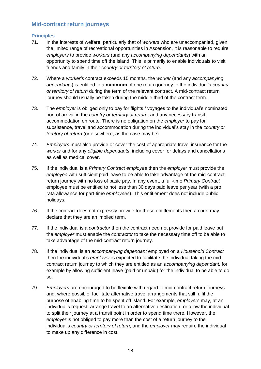## <span id="page-17-0"></span>**Mid-contract return journeys**

#### <span id="page-17-1"></span>**Principles**

- 71. In the interests of welfare, particularly that of *workers* who are unaccompanied, given the limited range of recreational opportunities in Ascension, it is reasonable to require *employers* to provide *workers* (and any *accompanying dependants*) with an opportunity to spend time off the island. This is primarily to enable individuals to visit friends and family in their *country or territory of return*.
- 72. Where a *worker's* contract exceeds 15 months, the *worker* (and any *accompanying dependants*) is entitled to a **minimum** of one return journey to the individual's *country or territory of return* during the term of the relevant contract. A mid-contract return journey should usually be taken during the middle third of the contract term.
- 73. The *employer* is obliged only to pay for flights / voyages to the individual's nominated port of arrival in the *country or territory of return*, and any necessary transit accommodation en route. There is no obligation on the *employer* to pay for subsistence, travel and accommodation during the individual's stay in the *country or territory of return* (or elsewhere, as the case may be).
- 74. *Employers* must also provide or cover the cost of appropriate travel insurance for the *worker* and for any *eligible dependants*, including cover for delays and cancellations as well as medical cover.
- 75. If the individual is a *Primary Contract employee* then the *employer* must provide the *employee* with sufficient paid leave to be able to take advantage of the mid-contract return journey with no loss of basic pay. In any event, a full-time *Primary Contract* employee must be entitled to not less than 30 days paid leave per year (with a pro rata allowance for part-time *employees*). This entitlement does not include public holidays.
- 76. If the contract does not expressly provide for these entitlements then a court may declare that they are an implied term.
- 77. If the individual is a *contractor* then the contract need not provide for paid leave but the *employer* must enable the *contractor* to take the necessary time off to be able to take advantage of the mid-contract return journey.
- 78. If the individual is an *accompanying dependant* employed on a *Household Contract* then the individual's *employer* is expected to facilitate the individual taking the midcontract return journey to which they are entitled as an *accompanying dependant,* for example by allowing sufficient leave (paid or unpaid) for the individual to be able to do so.
- 79. *Employers* are encouraged to be flexible with regard to mid-contract return journeys and, where possible, facilitate alternative travel arrangements that still fulfil the purpose of enabling time to be spent off island. For example, *employers* may, at an individual's request, arrange travel to an alternative destination, or allow the individual to split their journey at a transit point in order to spend time there. However, the *employer* is not obliged to pay more than the cost of a return journey to the individual's *country or territory of return*, and the *employer* may require the individual to make up any difference in cost.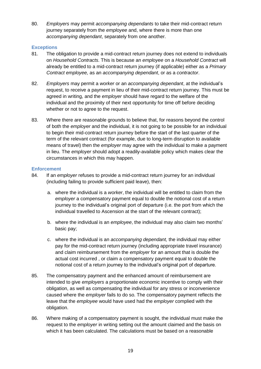80. *Employers* may permit *accompanying dependants* to take their mid-contract return journey separately from the *employee* and, where there is more than one *accompanying dependant*, separately from one another.

#### <span id="page-18-0"></span>**Exceptions**

- 81. The obligation to provide a mid-contract return journey does not extend to individuals on *Household Contracts*. This is because an *employee* on a *Household Contract* will already be entitled to a mid-contract return journey (if applicable) either as a *Primary Contract employee,* as an *accompanying dependant*, or as a *contractor*.
- 82. *Employers* may permit a *worker* or an *accompanying dependant*, at the individual's request, to receive a payment in lieu of their mid-contract return journey. This must be agreed in writing, and the *employer* should have regard to the welfare of the individual and the proximity of their next opportunity for time off before deciding whether or not to agree to the request.
- 83. Where there are reasonable grounds to believe that, for reasons beyond the control of both the *employer* and the individual, it is not going to be possible for an individual to begin their mid-contract return journey before the start of the last quarter of the term of the relevant contract (for example, due to long-term disruption to available means of travel) then the *employer* may agree with the individual to make a payment in lieu. The *employer* should adopt a readily-available policy which makes clear the circumstances in which this may happen.

#### <span id="page-18-1"></span>**Enforcement**

- 84. If an *employer* refuses to provide a mid-contract return journey for an individual (including failing to provide sufficient paid leave), then:
	- a. where the individual is a *worker*, the individual will be entitled to claim from the *employer* a compensatory payment equal to double the notional cost of a return journey to the individual's original port of departure (i.e. the port from which the individual travelled to Ascension at the start of the relevant contract);
	- b. where the individual is an *employee*, the individual may also claim two months' basic pay;
	- c. where the individual is an *accompanying dependant,* the individual may either pay for the mid-contract return journey (including appropriate travel insurance) and claim reimbursement from the *employer* for an amount that is double the actual cost incurred , or claim a compensatory payment equal to double the notional cost of a return journey to the individual's original port of departure.
- 85. The compensatory payment and the enhanced amount of reimbursement are intended to give *employers* a proportionate economic incentive to comply with their obligation, as well as compensating the individual for any stress or inconvenience caused where the *employer* fails to do so. The compensatory payment reflects the leave that the *employee* would have used had the *employer* complied with the obligation.
- 86. Where making of a compensatory payment is sought, the individual must make the request to the *employer* in writing setting out the amount claimed and the basis on which it has been calculated. The calculations must be based on a reasonable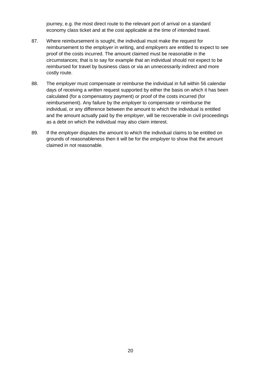journey, e.g. the most direct route to the relevant port of arrival on a standard economy class ticket and at the cost applicable at the time of intended travel.

- 87. Where reimbursement is sought, the individual must make the request for reimbursement to the *employer* in writing, and *employers* are entitled to expect to see proof of the costs incurred. The amount claimed must be reasonable in the circumstances; that is to say for example that an individual should not expect to be reimbursed for travel by business class or via an unnecessarily indirect and more costly route.
- 88. The *employer* must compensate or reimburse the individual in full within 56 calendar days of receiving a written request supported by either the basis on which it has been calculated (for a compensatory payment) or proof of the costs incurred (for reimbursement). Any failure by the *employer* to compensate or reimburse the individual, or any difference between the amount to which the individual is entitled and the amount actually paid by the *employer*, will be recoverable in civil proceedings as a debt on which the individual may also claim interest.
- 89. If the *employer* disputes the amount to which the individual claims to be entitled on grounds of reasonableness then it will be for the *employer* to show that the amount claimed in not reasonable.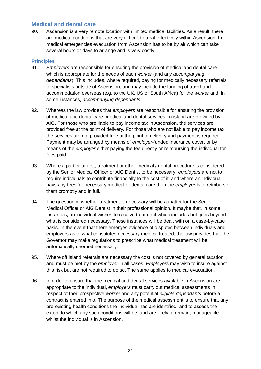## <span id="page-20-0"></span>**Medical and dental care**

90. Ascension is a very remote location with limited medical facilities. As a result, there are medical conditions that are very difficult to treat effectively within Ascension. In medical emergencies evacuation from Ascension has to be by air which can take several hours or days to arrange and is very costly.

#### <span id="page-20-1"></span>**Principles**

- 91. *Employers* are responsible for ensuring the provision of medical and dental care which is appropriate for the needs of each *worker* (and any *accompanying dependants*). This includes, where required, paying for medically necessary referrals to specialists outside of Ascension, and may include the funding of travel and accommodation overseas (e.g. to the UK, US or South Africa) for the *worker* and, in some instances, *accompanying dependants*.
- 92. Whereas the law provides that *employers* are responsible for ensuring the provision of medical and dental care, medical and dental services on island are provided by AIG. For those who are liable to pay income tax in Ascension, the services are provided free at the point of delivery. For those who are not liable to pay income tax, the services are not provided free at the point of delivery and payment is required. Payment may be arranged by means of *employer*-funded insurance cover, or by means of the *employer* either paying the fee directly or reimbursing the individual for fees paid.
- 93. Where a particular test, treatment or other medical / dental procedure is considered by the Senior Medical Officer or AIG Dentist to be necessary, *employers* are not to require individuals to contribute financially to the cost of it, and where an individual pays any fees for necessary medical or dental care then the *employer* is to reimburse them promptly and in full.
- 94. The question of whether treatment is necessary will be a matter for the Senior Medical Officer or AIG Dentist in their professional opinion. It maybe that, in some instances, an individual wishes to receive treatment which includes but goes beyond what is considered necessary. These instances will be dealt with on a case-by-case basis. In the event that there emerges evidence of disputes between individuals and employers as to what constitutes necessary medical treated, the law provides that the Governor may make regulations to prescribe what medical treatment will be automatically deemed necessary.
- 95. Where off island referrals are necessary the cost is not covered by general taxation and must be met by the *employer* in all cases. *Employers* may wish to insure against this risk but are not required to do so. The same applies to medical evacuation.
- 96. In order to ensure that the medical and dental services available in Ascension are appropriate to the individual, *employers* must carry out medical assessments in respect of their prospective *worker* and any potential *eligible dependants* before a contract is entered into. The purpose of the medical assessment is to ensure that any pre-existing health conditions the individual has are identified, and to assess the extent to which any such conditions will be, and are likely to remain, manageable whilst the individual is in Ascension.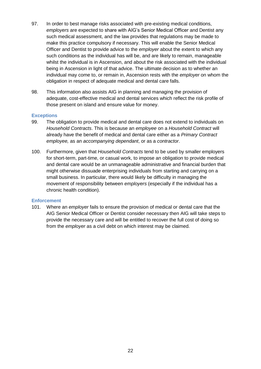- 97. In order to best manage risks associated with pre-existing medical conditions, *employers* are expected to share with AIG's Senior Medical Officer and Dentist any such medical assessment, and the law provides that regulations may be made to make this practice compulsory if necessary. This will enable the Senior Medical Officer and Dentist to provide advice to the *employer* about the extent to which any such conditions as the individual has will be, and are likely to remain, manageable whilst the individual is in Ascension, and about the risk associated with the individual being in Ascension in light of that advice. The ultimate decision as to whether an individual may come to, or remain in, Ascension rests with the *employer* on whom the obligation in respect of adequate medical and dental care falls.
- 98. This information also assists AIG in planning and managing the provision of adequate, cost-effective medical and dental services which reflect the risk profile of those present on island and ensure value for money.

#### <span id="page-21-0"></span>**Exceptions**

- 99. The obligation to provide medical and dental care does not extend to individuals on *Household Contracts*. This is because an *employee* on a *Household Contract* will already have the benefit of medical and dental care either as a *Primary Contract employee,* as an *accompanying dependant*, or as a *contractor*.
- 100. Furthermore, given that *Household Contracts* tend to be used by smaller employers for short-term, part-time, or casual work, to impose an obligation to provide medical and dental care would be an unmanageable administrative and financial burden that might otherwise dissuade enterprising individuals from starting and carrying on a small business. In particular, there would likely be difficulty in managing the movement of responsibility between *employers* (especially if the individual has a chronic health condition).

#### <span id="page-21-1"></span>**Enforcement**

101. Where an *employer* fails to ensure the provision of medical or dental care that the AIG Senior Medical Officer or Dentist consider necessary then AIG will take steps to provide the necessary care and will be entitled to recover the full cost of doing so from the *employer* as a civil debt on which interest may be claimed.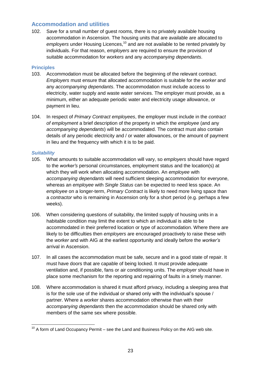## <span id="page-22-0"></span>**Accommodation and utilities**

102. Save for a small number of guest rooms, there is no privately available housing accommodation in Ascension. The housing units that are available are allocated to *employers* under Housing Licences,<sup>10</sup> and are not available to be rented privately by individuals. For that reason, *employers* are required to ensure the provision of suitable accommodation for *workers* and any *accompanying dependants*.

#### <span id="page-22-1"></span>**Principles**

- 103. Accommodation must be allocated before the beginning of the relevant contract. *Employers* must ensure that allocated accommodation is suitable for the *worker* and any *accompanying dependants*. The accommodation must include access to electricity, water supply and waste water services. The employer must provide, as a minimum, either an adequate periodic water and electricity usage allowance, or payment in lieu.
- 104. In respect of *Primary Contract employees*, the employer must include in the *contract of employment* a brief description of the property in which the *employee* (and any *accompanying dependants*) will be accommodated. The contract must also contain details of any periodic electricity and / or water allowances, or the amount of payment in lieu and the frequency with which it is to be paid.

#### *Suitability*

- 105. What amounts to suitable accommodation will vary, so *employers* should have regard to the *worker's* personal circumstances, employment status and the location(s) at which they will work when allocating accommodation. An *employee* with *accompanying dependants* will need sufficient sleeping accommodation for everyone, whereas an *employee* with *Single Status* can be expected to need less space. An *employee* on a longer-term, *Primary Contract* is likely to need more living space than a *contractor* who is remaining in Ascension only for a short period (e.g. perhaps a few weeks).
- 106. When considering questions of suitability, the limited supply of housing units in a habitable condition may limit the extent to which an individual is able to be accommodated in their preferred location or type of accommodation. Where there are likely to be difficulties then *employers* are encouraged proactively to raise these with the *worker* and with AIG at the earliest opportunity and ideally before the *worker's* arrival in Ascension.
- 107. In all cases the accommodation must be safe, secure and in a good state of repair. It must have doors that are capable of being locked. It must provide adequate ventilation and, if possible, fans or air conditioning units. The *employer* should have in place some mechanism for the reporting and repairing of faults in a timely manner.
- 108. Where accommodation is shared it must afford privacy, including a sleeping area that is for the sole use of the individual or shared only with the individual's spouse / partner. Where a *worker* shares accommodation otherwise than with their *accompanying dependants* then the accommodation should be shared only with members of the same sex where possible.

<sup>-</sup> $10$  A form of Land Occupancy Permit – see the Land and Business Policy on the AIG web site.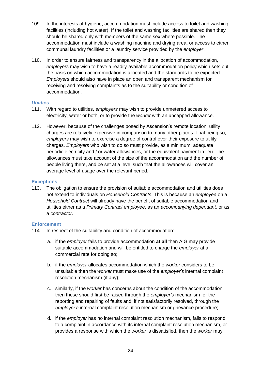- 109. In the interests of hygiene, accommodation must include access to toilet and washing facilities (including hot water). If the toilet and washing facilities are shared then they should be shared only with members of the same sex where possible. The accommodation must include a washing machine and drying area, or access to either communal laundry facilities or a laundry service provided by the *employer*.
- 110. In order to ensure fairness and transparency in the allocation of accommodation, *employers* may wish to have a readily-available accommodation policy which sets out the basis on which accommodation is allocated and the standards to be expected. *Employers* should also have in place an open and transparent mechanism for receiving and resolving complaints as to the suitability or condition of accommodation.

#### *Utilities*

- 111. With regard to utilities, *employers* may wish to provide unmetered access to electricity, water or both, or to provide the *worker* with an uncapped allowance.
- 112. However, because of the challenges posed by Ascension's remote location, utility charges are relatively expensive in comparison to many other places. That being so, *employers* may wish to exercise a degree of control over their exposure to utility charges. *Employers* who wish to do so must provide, as a minimum, adequate periodic electricity and / or water allowances, or the equivalent payment in lieu. The allowances must take account of the size of the accommodation and the number of people living there, and be set at a level such that the allowances will cover an average level of usage over the relevant period.

#### <span id="page-23-0"></span>**Exceptions**

113. The obligation to ensure the provision of suitable accommodation and utilities does not extend to individuals on *Household Contracts*. This is because an *employee* on a *Household Contract* will already have the benefit of suitable accommodation and utilities either as a *Primary Contract employee*, as an *accompanying dependant,* or as a *contractor.*

#### <span id="page-23-1"></span>**Enforcement**

- 114. In respect of the suitability and condition of accommodation:
	- a. if the *employer* fails to provide accommodation **at all** then AIG may provide suitable accommodation and will be entitled to charge the *employer* at a commercial rate for doing so;
	- b. if the *employer* allocates accommodation which the *worker* considers to be unsuitable then the *worker* must make use of the *employer's* internal complaint resolution mechanism (if any);
	- c. similarly, if the *worker* has concerns about the condition of the accommodation then these should first be raised through the *employer's* mechanism for the reporting and repairing of faults and, if not satisfactorily resolved, through the *employer's* internal complaint resolution mechanism or grievance procedure;
	- d. if the *employer* has no internal complaint resolution mechanism, fails to respond to a complaint in accordance with its internal complaint resolution mechanism, or provides a response with which the *worker* is dissatisfied, then the *worker* may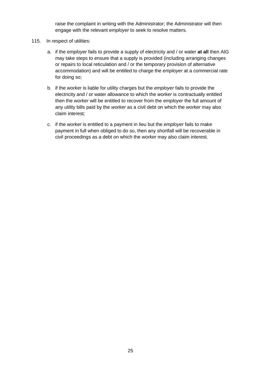raise the complaint in writing with the Administrator; the Administrator will then engage with the relevant *employer* to seek to resolve matters.

- 115. In respect of utilities:
	- a. if the *employer* fails to provide a supply of electricity and / or water **at all** then AIG may take steps to ensure that a supply is provided (including arranging changes or repairs to local reticulation and / or the temporary provision of alternative accommodation) and will be entitled to charge the *employer* at a commercial rate for doing so;
	- b. if the *worker* is liable for utility charges but the *employer* fails to provide the electricity and / or water allowance to which the *worker* is contractually entitled then the *worker* will be entitled to recover from the *employer* the full amount of any utility bills paid by the *worker* as a civil debt on which the *worker* may also claim interest*;*
	- c. if the *worker* is entitled to a payment in lieu but the *employer* fails to make payment in full when obliged to do so, then any shortfall will be recoverable in civil proceedings as a debt on which the *worker* may also claim interest.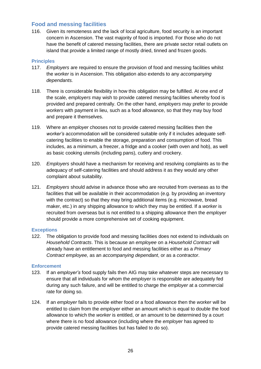## <span id="page-25-0"></span>**Food and messing facilities**

116. Given its remoteness and the lack of local agriculture, food security is an important concern in Ascension. The vast majority of food is imported. For those who do not have the benefit of catered messing facilities, there are private sector retail outlets on island that provide a limited range of mostly dried, tinned and frozen goods.

#### <span id="page-25-1"></span>**Principles**

- 117. *Employers* are required to ensure the provision of food and messing facilities whilst the *worker* is in Ascension. This obligation also extends to any *accompanying dependants.*
- 118. There is considerable flexibility in how this obligation may be fulfilled. At one end of the scale, *employers* may wish to provide catered messing facilities whereby food is provided and prepared centrally. On the other hand, *employers* may prefer to provide *workers* with payment in lieu, such as a food allowance, so that they may buy food and prepare it themselves.
- 119. Where an *employer* chooses not to provide catered messing facilities then the *worker's* accommodation will be considered suitable only if it includes adequate selfcatering facilities to enable the storage, preparation and consumption of food. This includes, as a minimum, a freezer, a fridge and a cooker (with oven and hob), as well as basic cooking utensils (including pans), cutlery and crockery.
- 120. *Employers* should have a mechanism for receiving and resolving complaints as to the adequacy of self-catering facilities and should address it as they would any other complaint about suitability.
- 121. *Employers* should advise in advance those who are recruited from overseas as to the facilities that will be available in their accommodation (e.g. by providing an inventory with the contract) so that they may bring additional items (e.g. microwave, bread maker, etc.) in any shipping allowance to which they may be entitled. If a *worker* is recruited from overseas but is not entitled to a shipping allowance then the *employer* should provide a more comprehensive set of cooking equipment.

#### <span id="page-25-2"></span>**Exceptions**

122. The obligation to provide food and messing facilities does not extend to individuals on *Household Contracts*. This is because an *employee* on a *Household Contract* will already have an entitlement to food and messing facilities either as a *Primary Contract employee,* as an *accompanying dependant*, or as a *contractor*.

#### <span id="page-25-3"></span>**Enforcement**

- 123. If an *employer's* food supply fails then AIG may take whatever steps are necessary to ensure that all individuals for whom the *employer* is responsible are adequately fed during any such failure, and will be entitled to charge the *employer* at a commercial rate for doing so.
- 124. If an *employer* fails to provide either food or a food allowance then the *worker* will be entitled to claim from the *employer* either an amount which is equal to double the food allowance to which the *worker* is entitled, or an amount to be determined by a court where there is no food allowance (including where the *employer* has agreed to provide catered messing facilities but has failed to do so).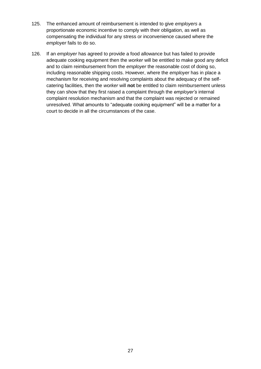- 125. The enhanced amount of reimbursement is intended to give *employers* a proportionate economic incentive to comply with their obligation, as well as compensating the individual for any stress or inconvenience caused where the *employer* fails to do so.
- 126. If an *employer* has agreed to provide a food allowance but has failed to provide adequate cooking equipment then the *worker* will be entitled to make good any deficit and to claim reimbursement from the *employer* the reasonable cost of doing so, including reasonable shipping costs. However, where the *employer* has in place a mechanism for receiving and resolving complaints about the adequacy of the selfcatering facilities, then the *worker* will **not** be entitled to claim reimbursement unless they can show that they first raised a complaint through the *employer's* internal complaint resolution mechanism and that the complaint was rejected or remained unresolved. What amounts to "adequate cooking equipment" will be a matter for a court to decide in all the circumstances of the case.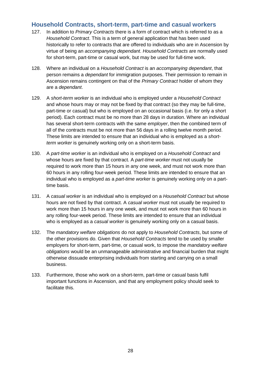## <span id="page-27-0"></span>**Household Contracts, short-term, part-time and casual workers**

- 127. In addition to *Primary Contracts* there is a form of contract which is referred to as a *Household Contract*. This is a term of general application that has been used historically to refer to contracts that are offered to individuals who are in Ascension by virtue of being an *accompanying dependant*. *Household Contracts* are normally used for short-term, part-time or casual work, but may be used for full-time work.
- 128. Where an individual on a *Household Contract* is an *accompanying dependant*, that person remains a *dependant* for immigration purposes. Their permission to remain in Ascension remains contingent on that of the *Primary Contract* holder of whom they are a *dependant*.
- 129. A *short-term worker* is an individual who is employed under a *Household Contract*  and whose hours may or may not be fixed by that contract (so they may be full-time, part-time or casual) but who is employed on an occasional basis (i.e. for only a short period). Each contract must be no more than 28 days in duration. Where an individual has several short-term contracts with the same *employer*, then the combined term of all of the contracts must be not more than 56 days in a rolling twelve month period. These limits are intended to ensure that an individual who is employed as a *shortterm worker* is genuinely working only on a short-term basis.
- 130. A *part-time worker* is an individual who is employed on a *Household Contract* and whose hours are fixed by that contract. A *part-time worker* must not usually be required to work more than 15 hours in any one week, and must not work more than 60 hours in any rolling four-week period. These limits are intended to ensure that an individual who is employed as a *part-time worker* is genuinely working only on a parttime basis.
- 131. A *casual worker* is an individual who is employed on a *Household Contract* but whose hours are not fixed by that contract. A *casual worker* must not usually be required to work more than 15 hours in any one week, and must not work more than 60 hours in any rolling four-week period. These limits are intended to ensure that an individual who is employed as a *casual worker* is genuinely working only on a casual basis.
- 132. The *mandatory welfare obligations* do not apply to *Household Contracts*, but some of the other provisions do. Given that *Household Contracts* tend to be used by smaller employers for short-term, part-time, or casual work, to impose the *mandatory welfare obligations* would be an unmanageable administrative and financial burden that might otherwise dissuade enterprising individuals from starting and carrying on a small business.
- 133. Furthermore, those who work on a short-term, part-time or casual basis fulfil important functions in Ascension, and that any employment policy should seek to facilitate this.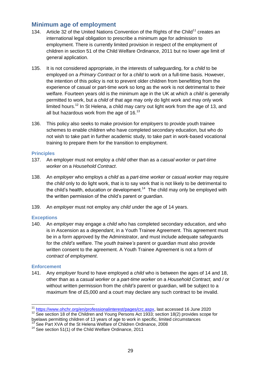# <span id="page-28-0"></span>**Minimum age of employment**

- 134. Article 32 of the United Nations Convention of the Rights of the Child<sup>11</sup> creates an international legal obligation to prescribe a minimum age for admission to employment. There is currently limited provision in respect of the employment of children in section 51 of the Child Welfare Ordinance, 2011 but no lower age limit of general application.
- 135. It is not considered appropriate, in the interests of safeguarding, for a *child* to be employed on a *Primary Contract* or for a *child* to work on a full-time basis. However, the intention of this policy is not to prevent older children from benefitting from the experience of casual or part-time work so long as the work is not detrimental to their welfare. Fourteen years old is the minimum age in the UK at which a *child* is generally permitted to work, but a *child* of that age may only do light work and may only work limited hours.<sup>12</sup> In St Helena, a child may carry out light work from the age of 13, and all but hazardous work from the age of  $16.<sup>13</sup>$
- 136. This policy also seeks to make provision for *employers* to provide youth trainee schemes to enable children who have completed secondary education, but who do not wish to take part in further academic study, to take part in work-based vocational training to prepare them for the transition to employment.

#### <span id="page-28-1"></span>**Principles**

- 137. An employer must not employ a *child* other than as a *casual worker* or *part-time worker* on a *Household Contract*.
- 138. An *employer* who employs a *child* as a *part-time worker* or *casual worker* may require the *child* only to do light work, that is to say work that is not likely to be detrimental to the child's health, education or development.<sup>14</sup> The child may only be employed with the written permission of the child's parent or guardian.
- 139. An *employer* must not employ any *child* under the age of 14 years.

#### <span id="page-28-2"></span>**Exceptions**

140. An *employer* may engage a *child* who has completed secondary education, and who is in Ascension as a *dependant*, in a Youth Trainee Agreement. This agreement must be in a form approved by the Administrator, and must include adequate safeguards for the *child's* welfare. The *youth trainee's* parent or guardian must also provide written consent to the agreement. A Youth Trainee Agreement is not a form of *contract of employment*.

#### <span id="page-28-3"></span>**Enforcement**

141. Any *employer* found to have employed a *child* who is between the ages of 14 and 18, other than as a *casual worker* or a *part-time worker* on a *Household Contract,* and / or without written permission from the *child's* parent or guardian, will be subject to a maximum fine of £5,000 and a court may declare any such contract to be invalid.

 $\overline{1}$ [https://www.ohchr.org/en/professionalinterest/pages/crc.aspx,](https://www.ohchr.org/en/professionalinterest/pages/crc.aspx) last accessed 16 June 2020

<sup>&</sup>lt;sup>12</sup> See section 18 of the Children and Young Persons Act 1933; section 18(2) provides scope for byelaws permitting children of 13 years of age to work in specific, limited circumstances

See Part XVA of the St Helena Welfare of Children Ordinance, 2008

<sup>&</sup>lt;sup>14</sup> See section 51(1) of the Child Welfare Ordinance, 2011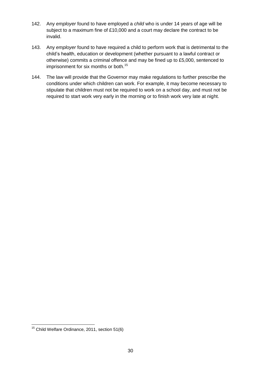- 142. Any *employer* found to have employed a *child* who is under 14 years of age will be subject to a maximum fine of £10,000 and a court may declare the contract to be invalid.
- 143. Any *employer* found to have required a child to perform work that is detrimental to the child's health, education or development (whether pursuant to a lawful contract or otherwise) commits a criminal offence and may be fined up to £5,000, sentenced to imprisonment for six months or both.<sup>15</sup>
- 144. The law will provide that the Governor may make regulations to further prescribe the conditions under which children can work. For example, it may become necessary to stipulate that children must not be required to work on a school day, and must not be required to start work very early in the morning or to finish work very late at night.

<sup>-</sup> $15$  Child Welfare Ordinance, 2011, section 51(6)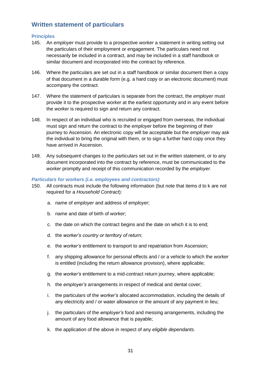# <span id="page-30-0"></span>**Written statement of particulars**

#### <span id="page-30-1"></span>**Principles**

- 145. An *employer* must provide to a prospective *worker* a statement in writing setting out the particulars of their employment or engagement. The particulars need not necessarily be included in a contract, and may be included in a staff handbook or similar document and incorporated into the contract by reference.
- 146. Where the particulars are set out in a staff handbook or similar document then a copy of that document in a durable form (e.g. a hard copy or an electronic document) must accompany the contract.
- 147. Where the statement of particulars is separate from the contract, the *employer* must provide it to the prospective *worker* at the earliest opportunity and in any event before the *worker* is required to sign and return any contract.
- 148. In respect of an individual who is recruited or engaged from overseas, the individual must sign and return the contract to the *employer* before the beginning of their journey to Ascension. An electronic copy will be acceptable but the *employer* may ask the individual to bring the original with them, or to sign a further hard copy once they have arrived in Ascension.
- 149. Any subsequent changes to the particulars set out in the written statement, or to any document incorporated into the contract by reference, must be communicated to the *worker* promptly and receipt of this communication recorded by the *employer*.

#### *Particulars for workers (i.e. employees and contractors)*

- 150. All contracts must include the following information (but note that items d to k are not required for a *Household Contract*):
	- a. name of *employer* and address of *employer*;
	- b. name and date of birth of *worker*;
	- c. the date on which the contract begins and the date on which it is to end;
	- d. the *worker's country or territory of return*;
	- e. the *worker's* entitlement to transport to and repatriation from Ascension;
	- f. any shipping allowance for personal effects and / or a vehicle to which the *worker* is entitled (including the return allowance provision), where applicable;
	- g. the *worker's* entitlement to a mid-contract return journey, where applicable;
	- h. the *employer's* arrangements in respect of medical and dental cover;
	- i. the particulars of the *worker's* allocated accommodation, including the details of any electricity and / or water allowance or the amount of any payment in lieu;
	- j. the particulars of the *employer's* food and messing arrangements, including the amount of any food allowance that is payable;
	- k. the application of the above in respect of any *eligible dependants*.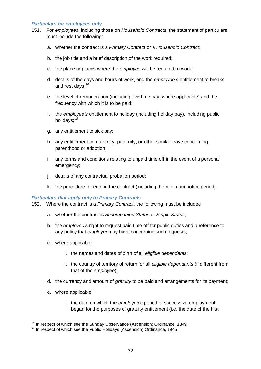#### *Particulars for employees only*

- 151. For *employees*, including those on *Household Contracts*, the statement of particulars must include the following:
	- a. whether the contract is a *Primary Contract* or a *Household Contract*;
	- b. the job title and a brief description of the work required;
	- c. the place or places where the *employee* will be required to work;
	- d. details of the days and hours of work, and the *employee's* entitlement to breaks and rest days:<sup>16</sup>
	- e. the level of remuneration (including overtime pay, where applicable) and the frequency with which it is to be paid;
	- f. the *employee's* entitlement to holiday (including holiday pay), including public holidays: 17
	- g. any entitlement to sick pay;
	- h. any entitlement to maternity, paternity, or other similar leave concerning parenthood or adoption;
	- i. any terms and conditions relating to unpaid time off in the event of a personal emergency;
	- j. details of any contractual probation period;
	- k. the procedure for ending the contract (including the minimum notice period).

#### *Particulars that apply only to Primary Contracts*

152. Where the contract is a *Primary Contract*, the following must be included

- a. whether the contract is *Accompanied Status* or *Single Status*;
- b. the *employee's* right to request paid time off for public duties and a reference to any policy that *employer* may have concerning such requests;
- c. where applicable:
	- i. the names and dates of birth of all *eligible dependants*;
	- ii. the country of territory of return for all *eligible dependants* (if different from that of the *employee*);
- d. the currency and amount of *gratuity* to be paid and arrangements for its payment;
- e. where applicable:

 $\overline{a}$ 

i. the date on which the *employee's* period of successive employment began for the purposes of gratuity entitlement (i.e. the date of the first

<sup>&</sup>lt;sup>16</sup> In respect of which see the Sunday Observance (Ascension) Ordinance, 1849

<sup>&</sup>lt;sup>17</sup> In respect of which see the Public Holidays (Ascension) Ordinance, 1945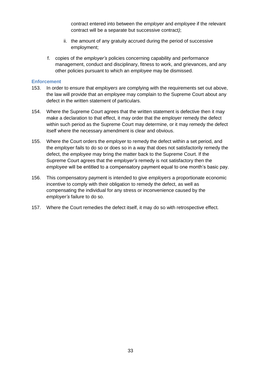contract entered into between the *employer* and *employee* if the relevant contract will be a separate but successive contract*)*;

- ii. the amount of any gratuity accrued during the period of successive employment;
- f. copies of the *employer's* policies concerning capability and performance management, conduct and disciplinary, fitness to work, and grievances, and any other policies pursuant to which an *employee* may be dismissed.

#### <span id="page-32-0"></span>**Enforcement**

- 153. In order to ensure that *employers* are complying with the requirements set out above, the law will provide that an *employee* may complain to the Supreme Court about any defect in the written statement of particulars.
- 154. Where the Supreme Court agrees that the written statement is defective then it may make a declaration to that effect, it may order that the employer remedy the defect within such period as the Supreme Court may determine, or it may remedy the defect itself where the necessary amendment is clear and obvious.
- 155. Where the Court orders the *employer* to remedy the defect within a set period, and the *employer* fails to do so or does so in a way that does not satisfactorily remedy the defect, the *employee* may bring the matter back to the Supreme Court. If the Supreme Court agrees that the *employer's* remedy is not satisfactory then the *employee* will be entitled to a compensatory payment equal to one month's basic pay.
- 156. This compensatory payment is intended to give *employers* a proportionate economic incentive to comply with their obligation to remedy the defect, as well as compensating the individual for any stress or inconvenience caused by the *employer's* failure to do so.
- 157. Where the Court remedies the defect itself, it may do so with retrospective effect.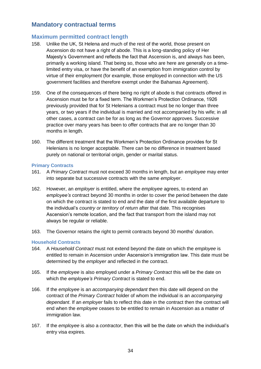# <span id="page-33-0"></span>**Mandatory contractual terms**

## <span id="page-33-1"></span>**Maximum permitted contract length**

- 158. Unlike the UK, St Helena and much of the rest of the world, those present on Ascension do not have a right of abode. This is a long-standing policy of Her Majesty's Government and reflects the fact that Ascension is, and always has been, primarily a working island. That being so, those who are here are generally on a timelimited entry visa, or have the benefit of an exemption from immigration control by virtue of their employment (for example, those employed in connection with the US government facilities and therefore exempt under the Bahamas Agreement).
- 159. One of the consequences of there being no right of abode is that contracts offered in Ascension must be for a fixed term. The Workmen's Protection Ordinance, 1926 previously provided that for St Helenians a contract must be no longer than three years, or two years if the individual is married and not accompanied by his wife; in all other cases, a contract can be for as long as the Governor approves. Successive practice over many years has been to offer contracts that are no longer than 30 months in length.
- 160. The different treatment that the Workmen's Protection Ordinance provides for St Helenians is no longer acceptable. There can be no difference in treatment based purely on national or territorial origin, gender or marital status.

#### <span id="page-33-2"></span>**Primary Contracts**

- 161. A *Primary Contract* must not exceed 30 months in length, but an *employee* may enter into separate but successive contracts with the same *employer*.
- 162. However, an *employer* is entitled, where the *employee* agrees, to extend an *employee's* contract beyond 30 months in order to cover the period between the date on which the contract is stated to end and the date of the first available departure to the individual's *country or territory of return* after that date. This recognises Ascension's remote location, and the fact that transport from the island may not always be regular or reliable.
- 163. The Governor retains the right to permit contracts beyond 30 months' duration.

#### <span id="page-33-3"></span>**Household Contracts**

- 164. A *Household Contract* must not extend beyond the date on which the *employee* is entitled to remain in Ascension under Ascension's immigration law. This date must be determined by the *employer* and reflected in the contract.
- 165. If the *employee* is also employed under a *Primary Contract* this will be the date on which the *employee's Primary Contract* is stated to end.
- 166. If the *employee* is an *accompanying dependant* then this date will depend on the contract of the *Primary Contract* holder of whom the individual is an *accompanying dependant*. If an *employer* fails to reflect this date in the contract then the contract will end when the *employee* ceases to be entitled to remain in Ascension as a matter of immigration law.
- 167. If the *employee* is also a *contractor*, then this will be the date on which the individual's entry visa expires.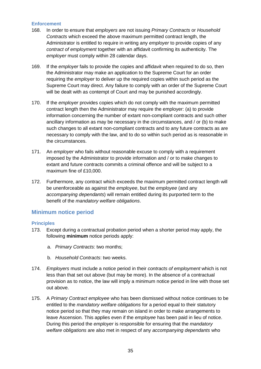#### <span id="page-34-0"></span>**Enforcement**

- 168. In order to ensure that *employers* are not issuing *Primary Contracts* or *Household Contracts* which exceed the above maximum permitted contract length, the Administrator is entitled to require in writing any *employer* to provide copies of any *contract of employment* together with an affidavit confirming its authenticity*.* The *employer* must comply within 28 calendar days.
- 169. If the *employer* fails to provide the copies and affidavit when required to do so, then the Administrator may make an application to the Supreme Court for an order requiring the *employer* to deliver up the required copies within such period as the Supreme Court may direct. Any failure to comply with an order of the Supreme Court will be dealt with as contempt of Court and may be punished accordingly.
- 170. If the *employer* provides copies which do not comply with the maximum permitted contract length then the Administrator may require the employer: (a) to provide information concerning the number of extant non-compliant contracts and such other ancillary information as may be necessary in the circumstances, and / or (b) to make such changes to all extant non-compliant contracts and to any future contracts as are necessary to comply with the law, and to do so within such period as is reasonable in the circumstances.
- 171. An *employer* who fails without reasonable excuse to comply with a requirement imposed by the Administrator to provide information and / or to make changes to extant and future contracts commits a criminal offence and will be subject to a maximum fine of £10,000.
- 172. Furthermore, any contract which exceeds the maximum permitted contract length will be unenforceable as against the *employee*, but the *employee* (and any *accompanying dependants*) will remain entitled during its purported term to the benefit of the *mandatory welfare obligations*.

#### <span id="page-34-1"></span>**Minimum notice period**

#### <span id="page-34-2"></span>**Principles**

- 173. Except during a contractual probation period when a shorter period may apply, the following **minimum** notice periods apply:
	- a. *Primary Contracts*: two months;
	- b. *Household Contracts*: two weeks.
- 174. *Employers* must include a notice period in their *contracts of employment* which is not less than that set out above (but may be more). In the absence of a contractual provision as to notice, the law will imply a minimum notice period in line with those set out above.
- 175. A *Primary Contract employee* who has been dismissed without notice continues to be entitled to the *mandatory welfare obligations* for a period equal to their statutory notice period so that they may remain on island in order to make arrangements to leave Ascension. This applies even if the *employee* has been paid in lieu of notice. During this period the *employer* is responsible for ensuring that the *mandatory welfare obligations* are also met in respect of any *accompanying dependants* who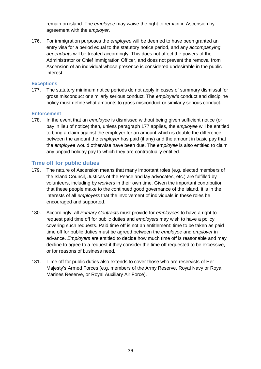remain on island. The *employee* may waive the right to remain in Ascension by agreement with the *employer*.

176. For immigration purposes the *employee* will be deemed to have been granted an entry visa for a period equal to the statutory notice period, and any *accompanying dependants* will be treated accordingly. This does not affect the powers of the Administrator or Chief Immigration Officer, and does not prevent the removal from Ascension of an individual whose presence is considered undesirable in the public interest.

#### <span id="page-35-0"></span>**Exceptions**

<span id="page-35-3"></span>177. The statutory minimum notice periods do not apply in cases of summary dismissal for gross misconduct or similarly serious conduct. The *employer's* conduct and discipline policy must define what amounts to gross misconduct or similarly serious conduct.

#### <span id="page-35-1"></span>**Enforcement**

178. In the event that an *employee* is dismissed without being given sufficient notice (or pay in lieu of notice) then, unless paragraph [177](#page-35-3) applies, the *employee* will be entitled to bring a claim against the employer for an amount which is double the difference between the amount the *employer* has paid (if any) and the amount in basic pay that the *employee* would otherwise have been due. The *employee* is also entitled to claim any unpaid holiday pay to which they are contractually entitled.

## <span id="page-35-2"></span>**Time off for public duties**

- 179. The nature of Ascension means that many important roles (e.g. elected members of the Island Council, Justices of the Peace and lay advocates, etc.) are fulfilled by volunteers, including by *workers* in their own time. Given the important contribution that these people make to the continued good governance of the island, it is in the interests of all *employers* that the involvement of individuals in these roles be encouraged and supported.
- 180. Accordingly, all *Primary Contracts* must provide for *employees* to have a right to request paid time off for public duties and *employers* may wish to have a policy covering such requests. Paid time off is not an entitlement: time to be taken as paid time off for public duties must be agreed between the *employee* and *employer* in advance. *Employers* are entitled to decide how much time off is reasonable and may decline to agree to a request if they consider the time off requested to be excessive, or for reasons of business need.
- 181. Time off for public duties also extends to cover those who are reservists of Her Majesty's Armed Forces (e.g. members of the Army Reserve, Royal Navy or Royal Marines Reserve, or Royal Auxiliary Air Force).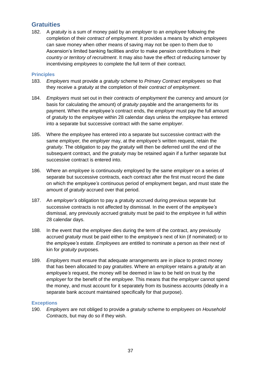# <span id="page-36-0"></span>**Gratuities**

182. A *gratuity* is a sum of money paid by an *employer* to an *employee* following the completion of their *contract of employment*. It provides a means by which *employees* can save money when other means of saving may not be open to them due to Ascension's limited banking facilities and/or to make pension contributions in their *country or territory of recruitment*. It may also have the effect of reducing turnover by incentivising *employees* to complete the full term of their contract.

#### <span id="page-36-1"></span>**Principles**

- 183. *Employers* must provide a *gratuity* scheme to *Primary Contract employees* so that they receive a *gratuity* at the completion of their *contract of employment*.
- 184. *Employers* must set out in their *contracts of employment* the currency and amount (or basis for calculating the amount) of *gratuity* payable and the arrangements for its payment. When the *employee's* contract ends, the *employer* must pay the full amount of *gratuity* to the *employee* within 28 calendar days unless the *employee* has entered into a separate but successive contract with the same *employer*.
- <span id="page-36-3"></span>185. Where the *employee* has entered into a separate but successive contract with the same *employer,* the *employer* may, at the *employee's* written request, retain the *gratuity*. The obligation to pay the *gratuity* will then be deferred until the end of the subsequent contract, and the *gratuity* may be retained again if a further separate but successive contract is entered into.
- 186. Where an *employee* is continuously employed by the same *employer* on a series of separate but successive contracts, each contract after the first must record the date on which the *employee's* continuous period of employment began, and must state the amount of *gratuity* accrued over that period.
- 187. An *employer's* obligation to pay a *gratuity* accrued during previous separate but successive contracts is not affected by dismissal. In the event of the *employee's* dismissal, any previously accrued gratuity must be paid to the *employee* in full within 28 calendar days.
- 188. In the event that the *employee* dies during the term of the contract, any previously accrued *gratuity* must be paid either to the *employee's* next of kin (if nominated) or to the *employee's* estate. *Employees* are entitled to nominate a person as their next of kin for *gratuity* purposes.
- 189. *Employers* must ensure that adequate arrangements are in place to protect money that has been allocated to pay *gratuities*. Where an *employer* retains a *gratuity* at an *employee's* request, the money will be deemed in law to be held on trust by the *employer* for the benefit of the *employee*. This means that the *employer* cannot spend the money, and must account for it separately from its business accounts (ideally in a separate bank account maintained specifically for that purpose).

#### <span id="page-36-2"></span>**Exceptions**

190. *Employers* are not obliged to provide a *gratuity* scheme to *employees* on *Household Contracts*, but may do so if they wish.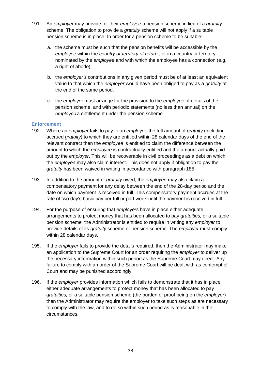- <span id="page-37-0"></span>191. An *employer* may provide for their *employee* a pension scheme in lieu of a *gratuity* scheme. The obligation to provide a *gratuity* scheme will not apply if a suitable pension scheme is in place. In order for a pension scheme to be suitable:
	- a. the scheme must be such that the pension benefits will be accessible by the *employee* within the *country or territory of return* , or in a country or territory nominated by the *employee* and with which the employee has a connection (e.g. a right of abode):
	- b. the *employer's* contributions in any given period must be of at least an equivalent value to that which the *employer* would have been obliged to pay as a *gratuity* at the end of the same period.
	- c. the *employer* must arrange for the provision to the *employee* of details of the pension scheme, and with periodic statements (no less than annual) on the *employee's* entitlement under the pension scheme.

#### **Enforcement**

- 192. Where an *employer* fails to pay to an *employee* the full amount of *gratuity* (including accrued *gratuity*) to which they are entitled within 28 calendar days of the end of the relevant contract then the *employee* is entitled to claim the difference between the amount to which the *employee* is contractually entitled and the amount actually paid out by the *employer*. This will be recoverable in civil proceedings as a debt on which the *employee* may also claim interest. This does not apply if obligation to pay the *gratuity* has been waived in writing in accordance with paragraph [185.](#page-36-3)
- 193. In addition to the amount of *gratuity* owed, the *employee* may also claim a compensatory payment for any delay between the end of the 28-day period and the date on which payment is received in full. This compensatory payment accrues at the rate of two day's basic pay per full or part week until the payment is received in full.
- 194. For the purpose of ensuring that *employers* have in place either adequate arrangements to protect money that has been allocated to pay *gratuities,* or a suitable pension scheme*,* the Administrator is entitled to require in writing any *employer* to provide details of its *gratuity* scheme or pension scheme*.* The *employer* must comply within 28 calendar days.
- 195. If the *employer* fails to provide the details required, then the Administrator may make an application to the Supreme Court for an order requiring the *employer* to deliver up the necessary information within such period as the Supreme Court may direct. Any failure to comply with an order of the Supreme Court will be dealt with as contempt of Court and may be punished accordingly.
- 196. If the *employer* provides information which fails to demonstrate that it has in place either adequate arrangements to protect money that has been allocated to pay *gratuities,* or a suitable pension scheme (the burden of proof being on the *employer*) then the Administrator may require the employer to take such steps as are necessary to comply with the law, and to do so within such period as is reasonable in the circumstances.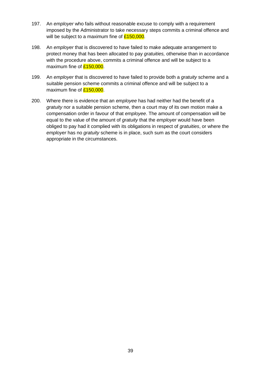- 197. An *employer* who fails without reasonable excuse to comply with a requirement imposed by the Administrator to take necessary steps commits a criminal offence and will be subject to a maximum fine of  $£150,000$ .
- 198. An *employer* that is discovered to have failed to make adequate arrangement to protect money that has been allocated to pay *gratuities,* otherwise than in accordance with the procedure above, commits a criminal offence and will be subject to a maximum fine of  $£150,000$ .
- 199. An *employer* that is discovered to have failed to provide both a *gratuity* scheme and a suitable pension scheme commits a criminal offence and will be subject to a maximum fine of **£150,000**.
- 200. Where there is evidence that an *employee* has had neither had the benefit of a *gratuity* nor a suitable pension scheme, then a court may of its own motion make a compensation order in favour of that *employee*. The amount of compensation will be equal to the value of the amount of *gratuity* that the *employer* would have been obliged to pay had it complied with its obligations in respect of *gratuities*, or where the *employer* has no *gratuity* scheme is in place, such sum as the court considers appropriate in the circumstances.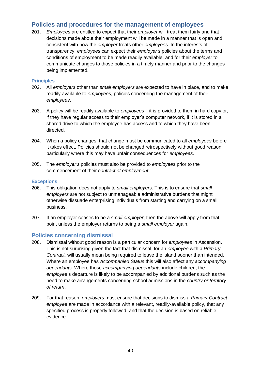# <span id="page-39-0"></span>**Policies and procedures for the management of employees**

201. *Employees* are entitled to expect that their *employer* will treat them fairly and that decisions made about their employment will be made in a manner that is open and consistent with how the *employer* treats other *employees*. In the interests of transparency, *employees* can expect their *employer's* policies about the terms and conditions of employment to be made readily available, and for their *employer* to communicate changes to those policies in a timely manner and prior to the changes being implemented.

#### <span id="page-39-1"></span>**Principles**

- 202. All *employers* other than *small employers* are expected to have in place, and to make readily available to *employees*, policies concerning the management of their *employees*.
- 203. A policy will be readily available to *employees* if it is provided to them in hard copy or, if they have regular access to their employer's computer network, if it is stored in a shared drive to which the employee has access and to which they have been directed.
- 204. When a policy changes, that change must be communicated to all *employees* before it takes effect. Policies should not be changed retrospectively without good reason, particularly where this may have unfair consequences for *employees*.
- 205. The *employer's* policies must also be provided to *employees* prior to the commencement of their *contract of employment*.

#### <span id="page-39-2"></span>**Exceptions**

- 206. This obligation does not apply to *small employers*. This is to ensure that *small employers* are not subject to unmanageable administrative burdens that might otherwise dissuade enterprising individuals from starting and carrying on a small business.
- 207. If an employer ceases to be a *small employer*, then the above will apply from that point unless the employer returns to being a *small employer* again.

## <span id="page-39-3"></span>**Policies concerning dismissal**

- 208. Dismissal without good reason is a particular concern for *employees* in Ascension. This is not surprising given the fact that dismissal, for an *employee* with a *Primary Contract,* will usually mean being required to leave the island sooner than intended. Where an employee has *Accompanied Status* this will also affect any *accompanying dependants.* Where those *accompanying dependants* include children, the *employee*'s departure is likely to be accompanied by additional burdens such as the need to make arrangements concerning school admissions in the *country or territory of return*.
- 209. For that reason, *employers* must ensure that decisions to dismiss a *Primary Contract employee* are made in accordance with a relevant, readily-available policy, that any specified process is properly followed, and that the decision is based on reliable evidence.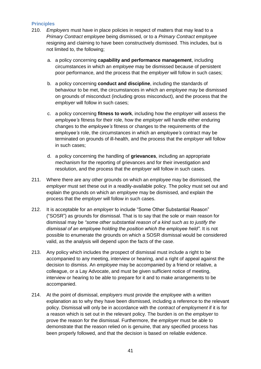#### <span id="page-40-0"></span>**Principles**

- 210. *Employers* must have in place policies in respect of matters that may lead to a *Primary Contract employee* being dismissed, or to a *Primary Contract employee* resigning and claiming to have been constructively dismissed. This includes, but is not limited to, the following;
	- a. a policy concerning **capability and performance management**, including circumstances in which an *employee* may be dismissed because of persistent poor performance, and the process that the *employer* will follow in such cases;
	- b. a policy concerning **conduct and discipline**, including the standards of behaviour to be met, the circumstances in which an *employee* may be dismissed on grounds of misconduct (including gross misconduct), and the process that the *employer* will follow in such cases;
	- c. a policy concerning **fitness to work**, including how the *employer* will assess the *employee's* fitness for their role, how the *employer* will handle either enduring changes to the *employee's* fitness or changes to the requirements of the *employee's* role, the circumstances in which an *employee's* contract may be terminated on grounds of ill-health, and the process that the *employer* will follow in such cases;
	- d. a policy concerning the handling of **grievances**, including an appropriate mechanism for the reporting of grievances and for their investigation and resolution, and the process that the *employer* will follow in such cases.
- 211. Where there are any other grounds on which an *employee* may be dismissed, the *employer* must set these out in a readily-available policy. The policy must set out and explain the grounds on which an *employee* may be dismissed, and explain the process that the *employer* will follow in such cases.
- 212. It is acceptable for an *employer* to include "Some Other Substantial Reason" ("SOSR") as grounds for dismissal. That is to say that the sole or main reason for dismissal may be *"some other substantial reason of a kind such as to justify the dismissal of an employee holding the position which the employee held"*. It is not possible to enumerate the grounds on which a SOSR dismissal would be considered valid, as the analysis will depend upon the facts of the case.
- 213. Any policy which includes the prospect of dismissal must include a right to be accompanied to any meeting, interview or hearing, and a right of appeal against the decision to dismiss. An *employee* may be accompanied by a friend or relative, a colleague, or a Lay Advocate, and must be given sufficient notice of meeting, interview or hearing to be able to prepare for it and to make arrangements to be accompanied.
- 214. At the point of dismissal, *employers* must provide the *employee* with a written explanation as to why they have been dismissed, including a reference to the relevant policy. Dismissal will only be in accordance with the *contract of employment* if it is for a reason which is set out in the relevant policy. The burden is on the *employer* to prove the reason for the dismissal. Furthermore, the *employer* must be able to demonstrate that the reason relied on is genuine, that any specified process has been properly followed, and that the decision is based on reliable evidence.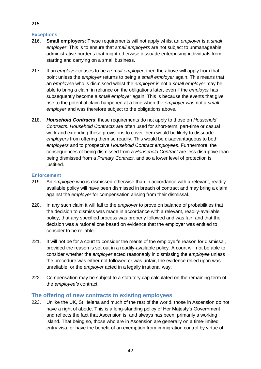## <span id="page-41-0"></span>**Exceptions**

- 216. **Small employers**: These requirements will not apply whilst an *employer* is a *small employer*. This is to ensure that *small employers* are not subject to unmanageable administrative burdens that might otherwise dissuade enterprising individuals from starting and carrying on a small business.
- 217. If an *employer* ceases to be a *small employer*, then the above will apply from that point unless the *employer* returns to being a *small employer* again. This means that an *employee* who is dismissed whilst the *employer* is not a *small employer* may be able to bring a claim in reliance on the obligations later, even if the *employer* has subsequently become a *small employer* again. This is because the events that give rise to the potential claim happened at a time when the *employer* was not a *small employer* and was therefore subject to the obligations above.
- 218. *Household Contracts*: these requirements do not apply to those on *Household Contracts*. *Household Contracts* are often used for short-term, part-time or casual work and extending these provisions to cover them would be likely to dissuade *employers* from offering them so readily. This would be disadvantageous to both *employers* and to prospective *Household Contract employees*. Furthermore, the consequences of being dismissed from a *Household Contract* are less disruptive than being dismissed from a *Primary Contract*, and so a lower level of protection is justified.

#### <span id="page-41-1"></span>**Enforcement**

- 219. An *employee* who is dismissed otherwise than in accordance with a relevant, readilyavailable policy will have been dismissed in breach of contract and may bring a claim against the *employer* for compensation arising from their dismissal.
- 220. In any such claim it will fall to the *employer* to prove on balance of probabilities that the decision to dismiss was made in accordance with a relevant, readily-available policy, that any specified process was properly followed and was fair, and that the decision was a rational one based on evidence that the employer was entitled to consider to be reliable.
- 221. It will not be for a court to consider the merits of the employer's reason for dismissal, provided the reason is set out in a readily-available policy. A court will not be able to consider whether the *employer* acted reasonably in dismissing the *employee* unless the procedure was either not followed or was unfair, the evidence relied upon was unreliable, or the *employer* acted in a legally irrational way.
- 222. Compensation may be subject to a statutory cap calculated on the remaining term of the *employee's* contract.

## <span id="page-41-2"></span>**The offering of new contracts to existing employees**

223. Unlike the UK, St Helena and much of the rest of the world, those in Ascension do not have a right of abode. This is a long-standing policy of Her Majesty's Government and reflects the fact that Ascension is, and always has been, primarily a working island. That being so, those who are in Ascension are generally on a time-limited entry visa, or have the benefit of an exemption from immigration control by virtue of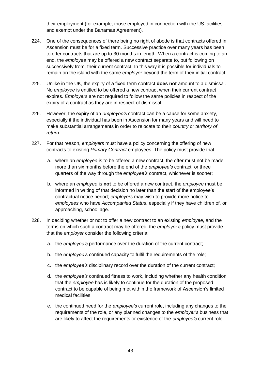their employment (for example, those employed in connection with the US facilities and exempt under the Bahamas Agreement).

- 224. One of the consequences of there being no right of abode is that contracts offered in Ascension must be for a fixed term. Successive practice over many years has been to offer contracts that are up to 30 months in length. When a contract is coming to an end, the *employee* may be offered a new contract separate to, but following on successively from, their current contract. In this way it is possible for individuals to remain on the island with the same *employer* beyond the term of their initial contract.
- 225. Unlike in the UK, the expiry of a fixed-term contract **does not** amount to a dismissal. No *employee* is entitled to be offered a new contract when their current contract expires. *Employers* are not required to follow the same policies in respect of the expiry of a contract as they are in respect of dismissal.
- 226. However, the expiry of an *employee's* contract can be a cause for some anxiety, especially if the individual has been in Ascension for many years and will need to make substantial arrangements in order to relocate to their *country or territory of return*.
- 227. For that reason, *employers* must have a policy concerning the offering of new contracts to existing *Primary Contract* employees. The policy must provide that:
	- a. where an *employee* is to be offered a new contract, the offer must not be made more than six months before the end of the *employee's* contract, or three quarters of the way through the *employee's* contract, whichever is sooner;
	- b. where an *employee* is **not** to be offered a new contract, the *employee* must be informed in writing of that decision no later than the start of the employee's contractual notice period; *employers* may wish to provide more notice to *employees* who have *Accompanied Status*, especially if they have children of, or approaching, school age.
- 228. In deciding whether or not to offer a new contract to an existing *employee*, and the terms on which such a contract may be offered, the *employer's* policy must provide that the *employer* consider the following criteria:
	- a. the *employee's* performance over the duration of the current contract;
	- b. the *employee's* continued capacity to fulfil the requirements of the role;
	- c. the *employee's* disciplinary record over the duration of the current contract;
	- d. the *employee's* continued fitness to work, including whether any health condition that the *employee* has is likely to continue for the duration of the proposed contract to be capable of being met within the framework of Ascension's limited medical facilities;
	- e. the continued need for the *employee's* current role, including any changes to the requirements of the role, or any planned changes to the *employer's* business that are likely to affect the requirements or existence of the *employee's* current role.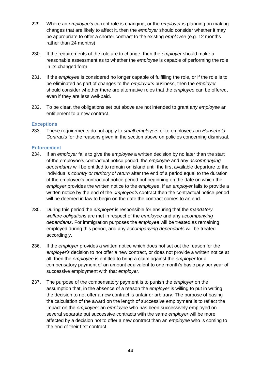- 229. Where an *employee's* current role is changing, or the *employer* is planning on making changes that are likely to affect it, then the *employer* should consider whether it may be appropriate to offer a shorter contract to the existing *employee* (e.g. 12 months rather than 24 months).
- 230. If the requirements of the role are to change, then the *employer* should make a reasonable assessment as to whether the *employee* is capable of performing the role in its changed form.
- 231. If the *employee* is considered no longer capable of fulfilling the role, or if the role is to be eliminated as part of changes to the *employer's* business, then the *employer* should consider whether there are alternative roles that the *employee* can be offered, even if they are less well-paid.
- 232. To be clear, the obligations set out above are not intended to grant any *employee* an entitlement to a new contract.

#### <span id="page-43-0"></span>**Exceptions**

233. These requirements do not apply to *small employers* or to employees on *Household Contracts* for the reasons given in the section above on policies concerning dismissal.

#### <span id="page-43-1"></span>**Enforcement**

- 234. If an *employer* fails to give the *employee* a written decision by no later than the start of the employee's contractual notice period, the *employee* and any *accompanying dependants* will be entitled to remain on island until the first available departure to the individual's *country or territory of return* after the end of a period equal to the duration of the employee's contractual notice period but beginning on the date on which the *employer* provides the written notice to the *employee*. If an *employer* fails to provide a written notice by the end of the *employee's* contract then the contractual notice period will be deemed in law to begin on the date the contract comes to an end.
- 235. During this period the *employer* is responsible for ensuring that the *mandatory welfare obligations* are met in respect of the *employee* and any *accompanying dependants*. For immigration purposes the *employee* will be treated as remaining employed during this period, and any *accompanying dependants* will be treated accordingly.
- 236. If the *employer* provides a written notice which does not set out the reason for the *employer's* decision to not offer a new contract, or does not provide a written notice at all, then the *employee* is entitled to bring a claim against the *employer* for a compensatory payment of an amount equivalent to one month's basic pay per year of successive employment with that *employer*.
- 237. The purpose of the compensatory payment is to punish the *employer* on the assumption that, in the absence of a reason the *employer* is willing to put in writing the decision to not offer a new contract is unfair or arbitrary. The purpose of basing the calculation of the award on the length of successive employment is to reflect the impact on the *employee*: an *employee* who has been successively employed on several separate but successive contracts with the same *employer* will be more affected by a decision not to offer a new contract than an *employee* who is coming to the end of their first contract.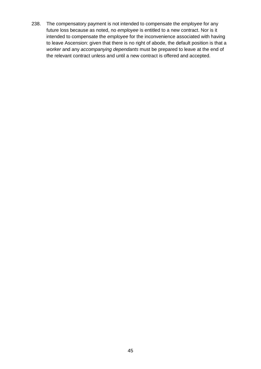238. The compensatory payment is not intended to compensate the *employee* for any future loss because as noted, no *employee* is entitled to a new contract. Nor is it intended to compensate the *employee* for the inconvenience associated with having to leave Ascension: given that there is no right of abode, the default position is that a *worker* and any *accompanying dependants* must be prepared to leave at the end of the relevant contract unless and until a new contract is offered and accepted.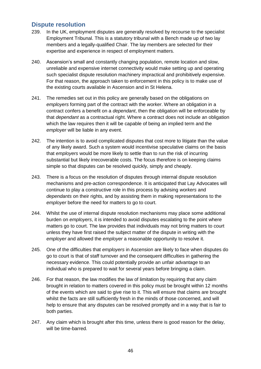## <span id="page-45-0"></span>**Dispute resolution**

- 239. In the UK, employment disputes are generally resolved by recourse to the specialist Employment Tribunal. This is a statutory tribunal with a Bench made up of two lay members and a legally-qualified Chair. The lay members are selected for their expertise and experience in respect of employment matters.
- 240. Ascension's small and constantly changing population, remote location and slow, unreliable and expensive internet connectivity would make setting up and operating such specialist dispute resolution machinery impractical and prohibitively expensive. For that reason, the approach taken to enforcement in this policy is to make use of the existing courts available in Ascension and in St Helena.
- 241. The remedies set out in this policy are generally based on the obligations on *employers* forming part of the contract with the *worker*. Where an obligation in a contract confers a benefit on a *dependant*, then the obligation will be enforceable by that *dependant* as a contractual right. Where a contract does not include an obligation which the law requires then it will be capable of being an implied term and the *employer* will be liable in any event.
- 242. The intention is to avoid complicated disputes that cost more to litigate than the value of any likely award. Such a system would incentivise speculative claims on the basis that *employers* would be more likely to settle than to run the risk of incurring substantial but likely irrecoverable costs. The focus therefore is on keeping claims simple so that disputes can be resolved quickly, simply and cheaply.
- 243. There is a focus on the resolution of disputes through internal dispute resolution mechanisms and pre-action correspondence. It is anticipated that Lay Advocates will continue to play a constructive role in this process by advising *workers* and *dependants* on their rights, and by assisting them in making representations to the *employer* before the need for matters to go to court.
- 244. Whilst the use of internal dispute resolution mechanisms may place some additional burden on *employers*, it is intended to avoid disputes escalating to the point where matters go to court. The law provides that individuals may not bring matters to court unless they have first raised the subject matter of the dispute in writing with the *employer* and allowed the *employer* a reasonable opportunity to resolve it.
- 245. One of the difficulties that *employers* in Ascension are likely to face when disputes do go to court is that of staff turnover and the consequent difficulties in gathering the necessary evidence. This could potentially provide an unfair advantage to an individual who is prepared to wait for several years before bringing a claim.
- 246. For that reason, the law modifies the law of limitation by requiring that any claim brought in relation to matters covered in this policy must be brought within 12 months of the events which are said to give rise to it. This will ensure that claims are brought whilst the facts are still sufficiently fresh in the minds of those concerned, and will help to ensure that any disputes can be resolved promptly and in a way that is fair to both parties.
- 247. Any claim which is brought after this time, unless there is good reason for the delay, will be time-barred.